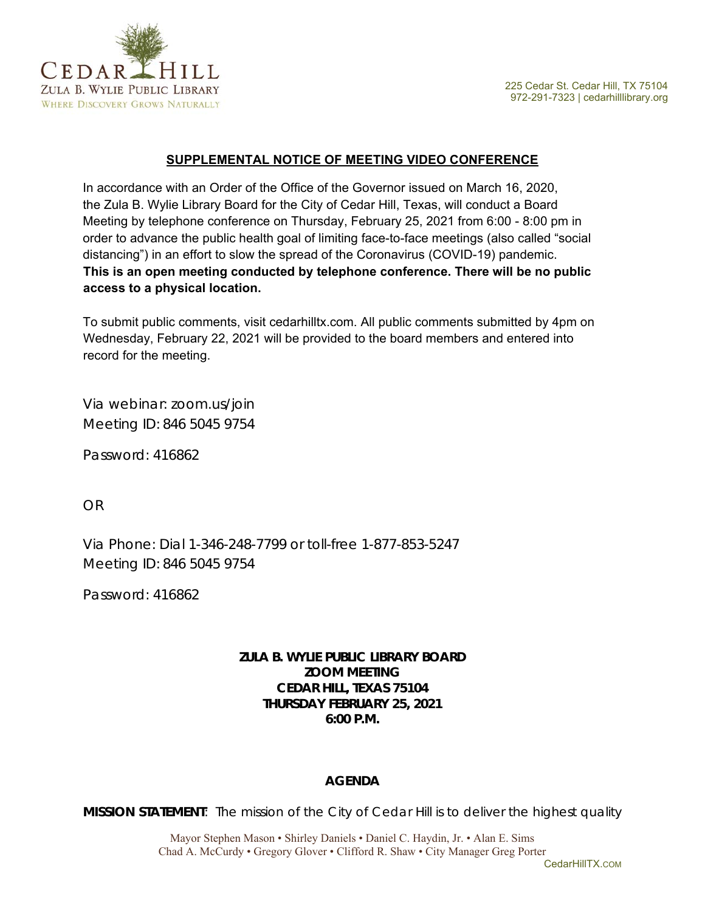



### **SUPPLEMENTAL NOTICE OF MEETING VIDEO CONFERENCE**

In accordance with an Order of the Office of the Governor issued on March 16, 2020, the Zula B. Wylie Library Board for the City of Cedar Hill, Texas, will conduct a Board Meeting by telephone conference on Thursday, February 25, 2021 from 6:00 - 8:00 pm in order to advance the public health goal of limiting face-to-face meetings (also called "social distancing") in an effort to slow the spread of the Coronavirus (COVID-19) pandemic. **This is an open meeting conducted by telephone conference. There will be no public access to a physical location.** 

To submit public comments, visit cedarhilltx.com. All public comments submitted by 4pm on Wednesday, February 22, 2021 will be provided to the board members and entered into record for the meeting.

Via webinar: zoom.us/join Meeting ID: 846 5045 9754

Password: 416862

OR

Via Phone: Dial 1-346-248-7799 or toll-free 1-877-853-5247 Meeting ID: 846 5045 9754

Password: 416862

# **ZULA B. WYLIE PUBLIC LIBRARY BOARD ZOOM MEETING CEDAR HILL, TEXAS 75104 THURSDAY FEBRUARY 25, 2021 6:00 P.M.**

# **AGENDA**

*MISSION STATEMENT: The mission of the City of Cedar Hill is to deliver the highest quality* 

Mayor Stephen Mason • Shirley Daniels • Daniel C. Haydin, Jr. • Alan E. Sims Chad A. McCurdy • Gregory Glover • Clifford R. Shaw • City Manager Greg Porter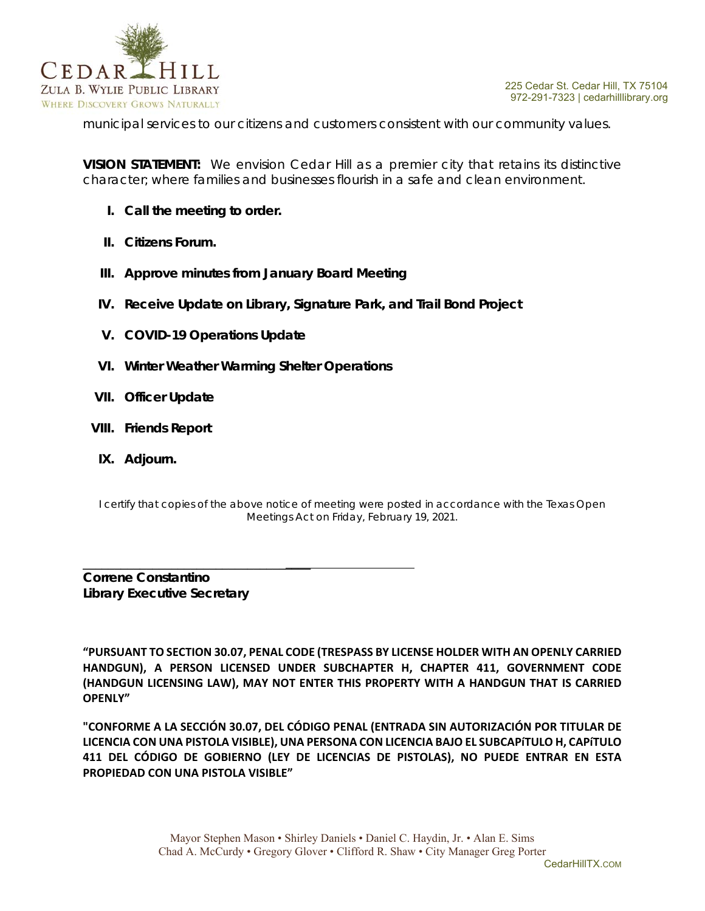

*municipal services to our citizens and customers consistent with our community values.* 

*VISION STATEMENT: We envision Cedar Hill as a premier city that retains its distinctive character; where families and businesses flourish in a safe and clean environment.* 

- **I. Call the meeting to order.**
- **II. Citizens Forum.**
- **III. Approve minutes from January Board Meeting**
- **IV. Receive Update on Library, Signature Park, and Trail Bond Project**
- **V. COVID-19 Operations Update**
- **VI. Winter Weather Warming Shelter Operations**
- **VII. Officer Update**
- **VIII. Friends Report**
- **IX. Adjourn.**

I certify that copies of the above notice of meeting were posted in accordance with the Texas Open Meetings Act on Friday, February 19, 2021.

**Correne Constantino Library Executive Secretary** 

\_\_\_\_\_\_\_\_\_\_\_\_\_\_\_\_\_\_\_\_\_\_\_\_\_\_\_\_\_\_\_\_\_\_\_\_

**"PURSUANT TO SECTION 30.07, PENAL CODE (TRESPASS BY LICENSE HOLDER WITH AN OPENLY CARRIED HANDGUN), A PERSON LICENSED UNDER SUBCHAPTER H, CHAPTER 411, GOVERNMENT CODE (HANDGUN LICENSING LAW), MAY NOT ENTER THIS PROPERTY WITH A HANDGUN THAT IS CARRIED OPENLY"** 

**"CONFORME A LA SECCIÓN 30.07, DEL CÓDIGO PENAL (ENTRADA SIN AUTORIZACIÓN POR TITULAR DE LICENCIA CON UNA PISTOLA VISIBLE), UNA PERSONA CON LICENCIA BAJO EL SUBCAPíTULO H, CAPíTULO 411 DEL CÓDIGO DE GOBIERNO (LEY DE LICENCIAS DE PISTOLAS), NO PUEDE ENTRAR EN ESTA PROPIEDAD CON UNA PISTOLA VISIBLE"**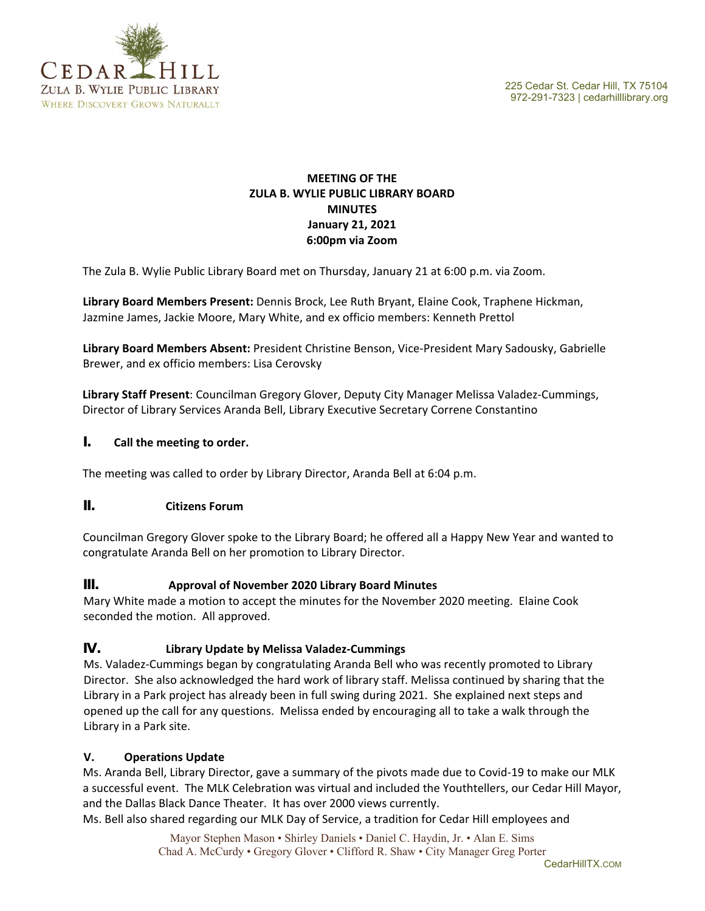



## **MEETING OF THE ZULA B. WYLIE PUBLIC LIBRARY BOARD MINUTES January 21, 2021 6:00pm via Zoom**

The Zula B. Wylie Public Library Board met on Thursday, January 21 at 6:00 p.m. via Zoom.

**Library Board Members Present:** Dennis Brock, Lee Ruth Bryant, Elaine Cook, Traphene Hickman, Jazmine James, Jackie Moore, Mary White, and ex officio members: Kenneth Prettol

**Library Board Members Absent:** President Christine Benson, Vice‐President Mary Sadousky, Gabrielle Brewer, and ex officio members: Lisa Cerovsky

**Library Staff Present**: Councilman Gregory Glover, Deputy City Manager Melissa Valadez‐Cummings, Director of Library Services Aranda Bell, Library Executive Secretary Correne Constantino

#### **I. Call the meeting to order.**

The meeting was called to order by Library Director, Aranda Bell at 6:04 p.m.

### **II. Citizens Forum**

Councilman Gregory Glover spoke to the Library Board; he offered all a Happy New Year and wanted to congratulate Aranda Bell on her promotion to Library Director.

### **III. Approval of November 2020 Library Board Minutes**

Mary White made a motion to accept the minutes for the November 2020 meeting. Elaine Cook seconded the motion. All approved.

### **IV. Library Update by Melissa Valadez‐Cummings**

Ms. Valadez‐Cummings began by congratulating Aranda Bell who was recently promoted to Library Director. She also acknowledged the hard work of library staff. Melissa continued by sharing that the Library in a Park project has already been in full swing during 2021. She explained next steps and opened up the call for any questions. Melissa ended by encouraging all to take a walk through the Library in a Park site.

#### **V. Operations Update**

Ms. Aranda Bell, Library Director, gave a summary of the pivots made due to Covid‐19 to make our MLK a successful event. The MLK Celebration was virtual and included the Youthtellers, our Cedar Hill Mayor, and the Dallas Black Dance Theater. It has over 2000 views currently.

Ms. Bell also shared regarding our MLK Day of Service, a tradition for Cedar Hill employees and

Mayor Stephen Mason • Shirley Daniels • Daniel C. Haydin, Jr. • Alan E. Sims Chad A. McCurdy • Gregory Glover • Clifford R. Shaw • City Manager Greg Porter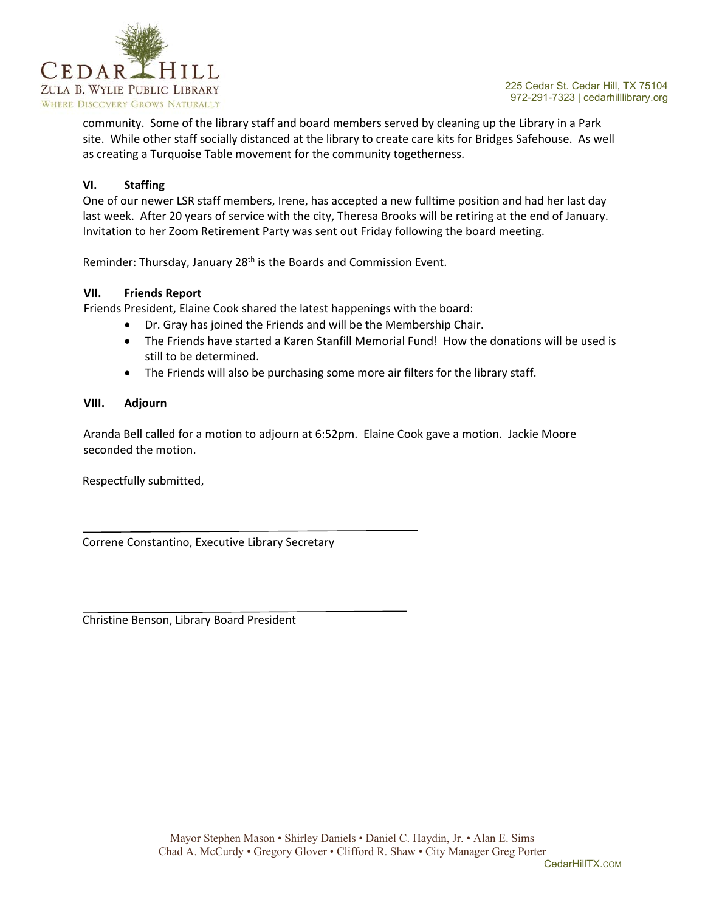

community. Some of the library staff and board members served by cleaning up the Library in a Park site. While other staff socially distanced at the library to create care kits for Bridges Safehouse. As well as creating a Turquoise Table movement for the community togetherness.

### **VI. Staffing**

One of our newer LSR staff members, Irene, has accepted a new fulltime position and had her last day last week. After 20 years of service with the city, Theresa Brooks will be retiring at the end of January. Invitation to her Zoom Retirement Party was sent out Friday following the board meeting.

Reminder: Thursday, January 28<sup>th</sup> is the Boards and Commission Event.

#### **VII. Friends Report**

Friends President, Elaine Cook shared the latest happenings with the board:

- Dr. Gray has joined the Friends and will be the Membership Chair.
- The Friends have started a Karen Stanfill Memorial Fund! How the donations will be used is still to be determined.
- The Friends will also be purchasing some more air filters for the library staff.

#### **VIII. Adjourn**

Aranda Bell called for a motion to adjourn at 6:52pm. Elaine Cook gave a motion. Jackie Moore seconded the motion.

Respectfully submitted,

Correne Constantino, Executive Library Secretary

Christine Benson, Library Board President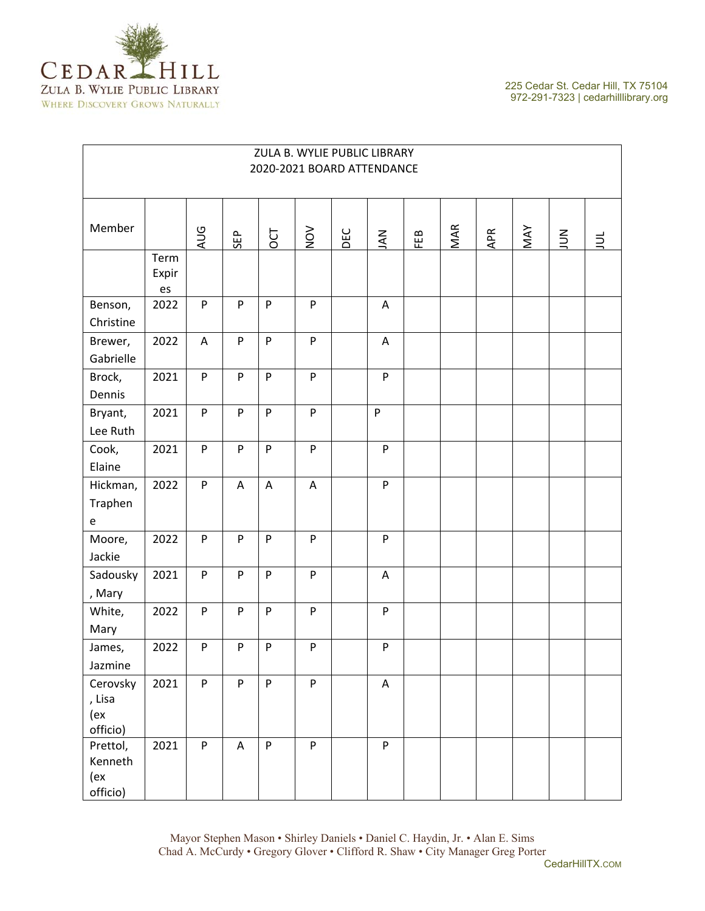

| ZULA B. WYLIE PUBLIC LIBRARY<br>2020-2021 BOARD ATTENDANCE |                     |     |     |                           |     |     |              |     |     |     |            |        |       |
|------------------------------------------------------------|---------------------|-----|-----|---------------------------|-----|-----|--------------|-----|-----|-----|------------|--------|-------|
| Member                                                     |                     | PUA | SEP | DCT                       | NON | DEC | NAU          | FEB | MAR | APR | <b>MAY</b> | $\leq$ | $\Xi$ |
|                                                            | Term<br>Expir<br>es |     |     |                           |     |     |              |     |     |     |            |        |       |
| Benson,<br>Christine                                       | 2022                | P   | P   | P                         | P   |     | Α            |     |     |     |            |        |       |
| Brewer,<br>Gabrielle                                       | 2022                | A   | P   | P                         | P   |     | A            |     |     |     |            |        |       |
| Brock,<br>Dennis                                           | 2021                | P   | P   | ${\sf P}$                 | P   |     | P            |     |     |     |            |        |       |
| Bryant,<br>Lee Ruth                                        | 2021                | P   | P   | P                         | P   |     | $\mathsf{P}$ |     |     |     |            |        |       |
| Cook,<br>Elaine                                            | 2021                | P   | P   | P                         | P   |     | P            |     |     |     |            |        |       |
| Hickman,<br>Traphen<br>$\mathsf{e}% _{t}\left( t\right)$   | 2022                | P   | A   | $\boldsymbol{\mathsf{A}}$ | A   |     | P            |     |     |     |            |        |       |
| Moore,<br>Jackie                                           | 2022                | P   | P   | P                         | P   |     | P            |     |     |     |            |        |       |
| Sadousky<br>, Mary                                         | 2021                | P   | P   | P                         | P   |     | A            |     |     |     |            |        |       |
| White,<br>Mary                                             | 2022                | P   | P   | P                         | P   |     | P            |     |     |     |            |        |       |
| James,<br>Jazmine                                          | 2022                | P   | P   | P                         | P   |     | P            |     |     |     |            |        |       |
| Cerovsky<br>, Lisa<br>(ex<br>officio)                      | 2021                | P   | P   | P                         | P   |     | A            |     |     |     |            |        |       |
| Prettol,<br>Kenneth<br>(ex<br>officio)                     | 2021                | P   | A   | P                         | P   |     | P            |     |     |     |            |        |       |

## Mayor Stephen Mason • Shirley Daniels • Daniel C. Haydin, Jr. • Alan E. Sims Chad A. McCurdy • Gregory Glover • Clifford R. Shaw • City Manager Greg Porter